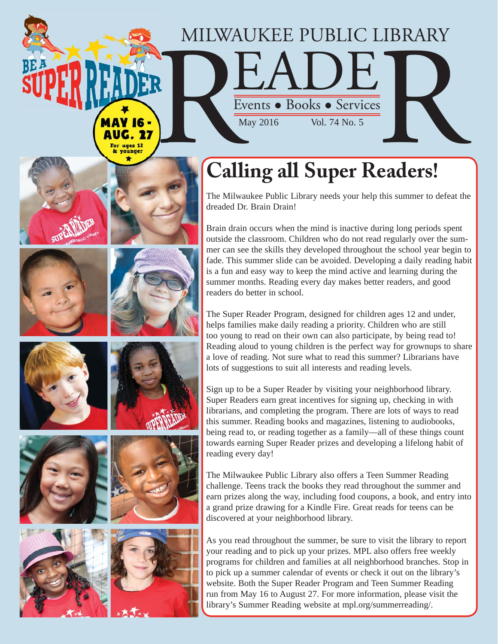## MILWAUKEE PUBLIC LIBRARY AUKEE PUBLIC LIBRARY<br>
Events • Books • Services<br>
May 2016 Vol. 74 No. 5 MILWAUKEE PUBLIC I

**Calling all Super Readers!**

The Milwaukee Public Library needs your help this summer to defeat the dreaded Dr. Brain Drain!

Brain drain occurs when the mind is inactive during long periods spent outside the classroom. Children who do not read regularly over the summer can see the skills they developed throughout the school year begin to fade. This summer slide can be avoided. Developing a daily reading habit is a fun and easy way to keep the mind active and learning during the summer months. Reading every day makes better readers, and good readers do better in school.

The Super Reader Program, designed for children ages 12 and under, helps families make daily reading a priority. Children who are still too young to read on their own can also participate, by being read to! Reading aloud to young children is the perfect way for grownups to share a love of reading. Not sure what to read this summer? Librarians have lots of suggestions to suit all interests and reading levels.

Sign up to be a Super Reader by visiting your neighborhood library. Super Readers earn great incentives for signing up, checking in with librarians, and completing the program. There are lots of ways to read this summer. Reading books and magazines, listening to audiobooks, being read to, or reading together as a family—all of these things count towards earning Super Reader prizes and developing a lifelong habit of reading every day!

The Milwaukee Public Library also offers a Teen Summer Reading challenge. Teens track the books they read throughout the summer and earn prizes along the way, including food coupons, a book, and entry into a grand prize drawing for a Kindle Fire. Great reads for teens can be discovered at your neighborhood library.

As you read throughout the summer, be sure to visit the library to report your reading and to pick up your prizes. MPL also offers free weekly programs for children and families at all neighborhood branches. Stop in to pick up a summer calendar of events or check it out on the library's website. Both the Super Reader Program and Teen Summer Reading run from May 16 to August 27. For more information, please visit the library's Summer Reading website at mpl.org/summerreading/.









AUG. 27 For ages 12 & vounger

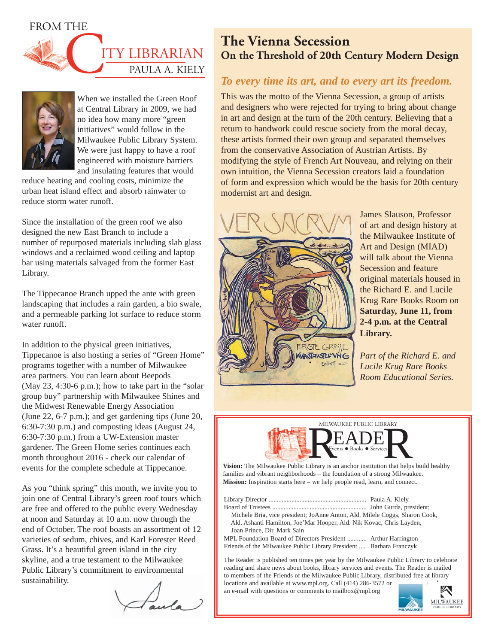



When we installed the Green Roof at Central Library in 2009, we had no idea how many more "green initiatives" would follow in the Milwaukee Public Library System. We were just happy to have a roof engineered with moisture barriers and insulating features that would

reduce heating and cooling costs, minimize the urban heat island effect and absorb rainwater to reduce storm water runoff.

Since the installation of the green roof we also designed the new East Branch to include a number of repurposed materials including slab glass windows and a reclaimed wood ceiling and laptop bar using materials salvaged from the former East Library.

The Tippecanoe Branch upped the ante with green landscaping that includes a rain garden, a bio swale, and a permeable parking lot surface to reduce storm water runoff.

In addition to the physical green initiatives, Tippecanoe is also hosting a series of "Green Home" programs together with a number of Milwaukee area partners. You can learn about Beepods (May  $23$ ,  $4:30-6$  p.m.); how to take part in the "solar" group buy" partnership with Milwaukee Shines and the Midwest Renewable Energy Association (June 22, 6-7 p.m.); and get gardening tips (June 20, 6:30-7:30 p.m.) and composting ideas (August 24, 6:30-7:30 p.m.) from a UW-Extension master gardener. The Green Home series continues each month throughout 2016 - check our calendar of events for the complete schedule at Tippecanoe.

As you "think spring" this month, we invite you to join one of Central Library's green roof tours which are free and offered to the public every Wednesday at noon and Saturday at 10 a.m. now through the end of October. The roof boasts an assortment of 12 varieties of sedum, chives, and Karl Forester Reed Grass. It's a beautiful green island in the city skyline, and a true testament to the Milwaukee Public Library's commitment to environmental sustainability.

Jula

## **The Vienna Secession On the Threshold of 20th Century Modern Design**

## *To every time its art, and to every art its freedom.*

This was the motto of the Vienna Secession, a group of artists and designers who were rejected for trying to bring about change in art and design at the turn of the 20th century. Believing that a return to handwork could rescue society from the moral decay, these artists formed their own group and separated themselves from the conservative Association of Austrian Artists. By modifying the style of French Art Nouveau, and relying on their own intuition, the Vienna Secession creators laid a foundation of form and expression which would be the basis for 20th century modernist art and design.



James Slauson, Professor of art and design history at the Milwaukee Institute of Art and Design (MIAD) will talk about the Vienna Secession and feature original materials housed in the Richard E. and Lucile Krug Rare Books Room on **Saturday, June 11, from 2-4 p.m. at the Central Library.**

*Part of the Richard E. and Lucile Krug Rare Books Room Educational Series.*



families and vibrant neighborhoods – the foundation of a strong Milwaukee. **Mission:** Inspiration starts here – we help people read, learn, and connect.

| Michele Bria, vice president; JoAnne Anton, Ald. Milele Coggs, Sharon Cook, |  |
|-----------------------------------------------------------------------------|--|
| Ald. Ashanti Hamilton, Joe'Mar Hooper, Ald. Nik Kovac, Chris Layden,        |  |
| Joan Prince, Dir. Mark Sain                                                 |  |
| MPL Foundation Board of Directors President  Arthur Harrington              |  |
| Friends of the Milwaukee Public Library President  Barbara Franczyk         |  |

The Reader is published ten times per year by the Milwaukee Public Library to celebrate reading and share news about books, library services and events. The Reader is mailed to members of the Friends of the Milwaukee Public Library, distributed free at library locations and available at www.mpl.org. Call (414) 286-3572 or

an e-mail with questions or comments to mailbox@mpl.org

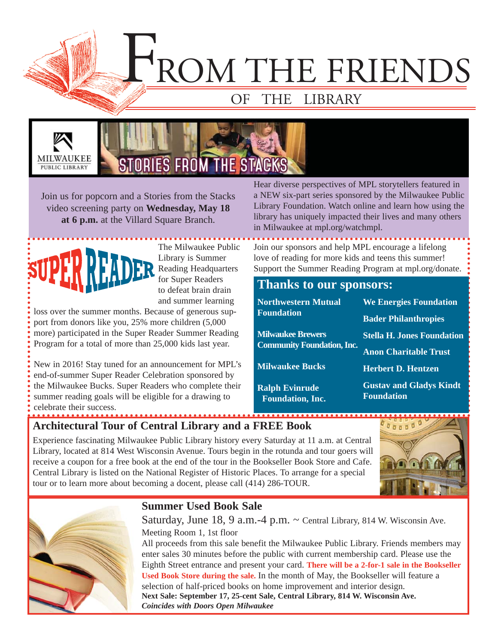F ROM THE FRIENDS

## OF THE LIBRARY





Join us for popcorn and a Stories from the Stacks video screening party on **Wednesday, May 18 at 6 p.m.** at the Villard Square Branch.



The Milwaukee Public Library is Summer Reading Headquarters for Super Readers to defeat brain drain and summer learning

loss over the summer months. Because of generous support from donors like you, 25% more children (5,000 more) participated in the Super Reader Summer Reading Program for a total of more than 25,000 kids last year.

New in 2016! Stay tuned for an announcement for MPL's end-of-summer Super Reader Celebration sponsored by the Milwaukee Bucks. Super Readers who complete their summer reading goals will be eligible for a drawing to celebrate their success.

Hear diverse perspectives of MPL storytellers featured in a NEW six-part series sponsored by the Milwaukee Public Library Foundation. Watch online and learn how using the library has uniquely impacted their lives and many others in Milwaukee at mpl.org/watchmpl.

Join our sponsors and help MPL encourage a lifelong love of reading for more kids and teens this summer! Support the Summer Reading Program at mpl.org/donate.

## **Thanks to our sponsors:**

| <b>Northwestern Mutual</b><br><b>Foundation</b>  | <b>We Energies Foundation</b>                       |  |
|--------------------------------------------------|-----------------------------------------------------|--|
|                                                  | <b>Bader Philanthropies</b>                         |  |
| <b>Milwaukee Brewers</b>                         | <b>Stella H. Jones Foundation</b>                   |  |
| <b>Community Foundation, Inc.</b>                | <b>Anon Charitable Trust</b>                        |  |
| <b>Milwaukee Bucks</b>                           | <b>Herbert D. Hentzen</b>                           |  |
| <b>Ralph Evinrude</b><br><b>Foundation, Inc.</b> | <b>Gustav and Gladys Kindt</b><br><b>Foundation</b> |  |

**Architectural Tour of Central Library and a FREE Book**

Experience fascinating Milwaukee Public Library history every Saturday at 11 a.m. at Central Library, located at 814 West Wisconsin Avenue. Tours begin in the rotunda and tour goers will receive a coupon for a free book at the end of the tour in the Bookseller Book Store and Cafe. Central Library is listed on the National Register of Historic Places. To arrange for a special tour or to learn more about becoming a docent, please call (414) 286-TOUR.





## **Summer Used Book Sale**

Saturday, June 18, 9 a.m.-4 p.m. ~ Central Library, 814 W. Wisconsin Ave. Meeting Room 1, 1st floor

All proceeds from this sale benefit the Milwaukee Public Library. Friends members may enter sales 30 minutes before the public with current membership card. Please use the Eighth Street entrance and present your card. **There will be a 2-for-1 sale in the Bookseller Used Book Store during the sale.** In the month of May, the Bookseller will feature a selection of half-priced books on home improvement and interior design. **Next Sale: September 17, 25-cent Sale, Central Library, 814 W. Wisconsin Ave.**  *Coincides with Doors Open Milwaukee*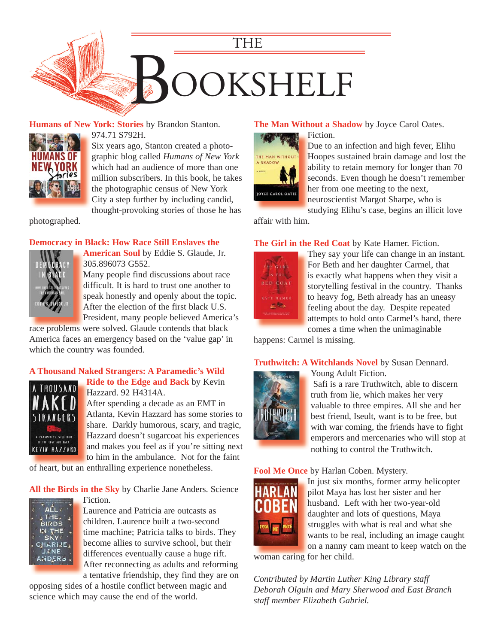

#### **Humans of New York: Stories** by Brandon Stanton.



974.71 S792H. Six years ago, Stanton created a photographic blog called *Humans of New York* which had an audience of more than one [million subscribers. In this book, he takes](https://encore.mcfls.org/iii/encore/record/C__Rb3854570) 

the photographic census of New York City a step further by including candid, thought-provoking stories of those he has

photographed.

#### **Democracy in Black: How Race Still Enslaves the**



**American Soul** by Eddie S. Glaude, Jr. **A** 305.896073 G552.

Many people find discussions about race M difficult. It is hard to trust one another to speak honestly and openly about the topic. After the election of the first black U.S. A President, many people believed America's P

race problems were solved. Glaude contends that black [America faces an emergency based on the 'value gap' in](https://encore.mcfls.org/iii/encore/record/C__Rb3876531)  which the country was founded.

#### **[A Thousand Naked Strangers: A Paramedic's Wild](https://encore.mcfls.org/iii/encore/record/C__Rb3881220)**



**Ride to the Edge and Back** by Kevin **R** Hazzard. 92 H4314A. H

After spending a decade as an EMT in A Atlanta, Kevin Hazzard has some stories to A share. Darkly humorous, scary, and tragic, Hazzard doesn't sugarcoat his experiences H and makes you feel as if you're sitting next to him in the ambulance. Not for the faint

of heart, but an enthralling experience nonetheless.

#### **All the Birds in the Sky** by Charlie Jane Anders. Science



Fiction. F Laurence and Patricia are outcasts as L children. Laurence built a two-second time machine; Patricia talks to birds. They become allies to survive school, but their b differences eventually cause a huge rift. After reconnecting as adults and reforming A a tentative friendship, they find they are on

[opposing sides of a hostile conflict between magic and](https://encore.mcfls.org/iii/encore/record/C__Rb3880612)  science which may cause the end of the world.

#### **The Man Without a Shadow** by Joyce Carol Oates.

Fiction. F



Due to an infection and high fever, Elihu D [Hoopes sustained brain damage and lost the](https://encore.mcfls.org/iii/encore/record/C__Rb3852864)  H ability to retain memory for longer than 70 a seconds. Even though he doesn't remember her from one meeting to the next, h

neuroscientist Margot Sharpe, who is n

studying Elihu's case, begins an illicit love affair with him.

**The Girl in the Red Coat** by Kate Hamer. Fiction.



They say your life can change in an instant. For Beth and her daughter Carmel, that F is exactly what happens when they visit a storytelling festival in the country. Thanks to heavy fog, Beth already has an uneasy t feeling about the day. Despite repeated f attempts to hold onto Carmel's hand, there a comes a time when the unimaginable c

happens: Carmel is missing.

#### **Truthwitch: A Witchlands Novel** by Susan Dennard.



Young Adult Fiction.

 Safi is a rare Truthwitch, able to discern truth from lie, which makes her very valuable to three empires. All she and her best friend, Iseult, want is to be free, but with war coming, the friends have to fight [emperors and mercenaries who will stop at](https://encore.mcfls.org/iii/encore/record/C__Rb3879520)  nothing to control the Truthwitch.

#### **Fool Me Once** by Harlan Coben. Mystery.



In just six months, former army helicopter I pilot Maya has lost her sister and her p husband. Left with her two-year-old h daughter and lots of questions, Maya d struggles with what is real and what she wants to be real, including an image caught on a nanny cam meant to keep watch on the

woman caring for her child.

*Contributed by Martin Luther King Library staff Deborah Olguin and Mary Sherwood and East Branch staff member Elizabeth Gabriel.*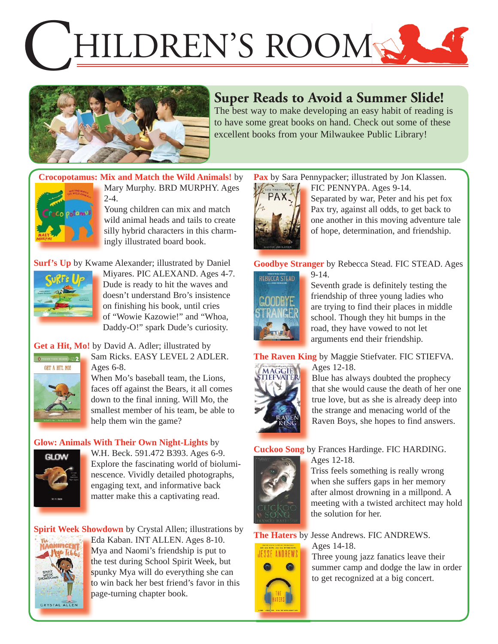# HILDREN'S ROOMS



## **Super Reads to Avoid a Summer Slide!**

The best way to make developing an easy habit of reading is to have some great books on hand. Check out some of these excellent books from your Milwaukee Public Library!

## **[Crocopotamus: Mix and Match the Wild Animals!](https://encore.mcfls.org/iii/encore/record/C__Rb3888583)** by



Mary Murphy. BRD MURPHY. Ages  $2 - 4.$ 

Young children can mix and match wild animal heads and tails to create silly hybrid characters in this charmingly illustrated board book.

**Surf's Up** [by Kwame Alexander; illustrated by Daniel](https://encore.mcfls.org/iii/encore/record/C__Rb3881350) 



Miyares. PIC ALEXAND. Ages 4-7. Dude is ready to hit the waves and doesn't understand Bro's insistence on finishing his book, until cries of "Wowie Kazowie!" and "Whoa, Daddy-O!" spark Dude's curiosity.

**Get a Hit, Mo!** by David A. Adler; illustrated by Sam Ricks. EASY LEVEL 2 ADLER.



Ages 6-8. When Mo's baseball team, the Lions,

faces off against the Bears, it all comes down to the final inning. Will Mo, the [smallest member of his team, be able to](https://encore.mcfls.org/iii/encore/record/C__Rb3881492)  help them win the game?

#### **[Glow: Animals With Their Own Night-Lights](https://encore.mcfls.org/iii/encore/record/C__Rb3880913)** by



W.H. Beck. 591.472 B393. Ages 6-9. Explore the fascinating world of bioluminescence. Vividly detailed photographs, engaging text, and informative back matter make this a captivating read.

**Spirit Week Showdown** by Crystal Allen; illustrations by



Eda Kaban. INT ALLEN. Ages 8-10. E Mya and Naomi's friendship is put to M the test during School Spirit Week, but spunky Mya will do everything she can to win back her best friend's favor in this page-turning chapter book. p

Pax by Sara Pennypacker; illustrated by Jon Klassen.



FIC PENNYPA. Ages 9-14. Separated by war, Peter and his pet fox Pax try, against all odds, to get back to one another in this moving adventure tale of hope, determination, and friendship.

**Goodbye Stranger** by Rebecca Stead. FIC STEAD. Ages

9-14.



Seventh grade is definitely testing the friendship of three young ladies who [are trying to find their places in middle](https://encore.mcfls.org/iii/encore/record/C__Rb3835841)  school. Though they hit bumps in the road, they have vowed to not let arguments end their friendship.

**The Raven King** by Maggie Stiefvater. FIC STIEFVA. Ages 12-18.



Blue has always doubted the prophecy [that she would cause the death of her one](https://encore.mcfls.org/iii/encore/record/C__Rb3857567)  true love, but as she is already deep into the strange and menacing world of the Raven Boys, she hopes to find answers.

**Cuckoo Song** by Frances Hardinge. FIC HARDING.



Ages 12-18.

Triss feels something is really wrong when she suffers gaps in her memory after almost drowning in a millpond. A [meeting with a twisted architect may hold](https://encore.mcfls.org/iii/encore/record/C__Rb3816463)  the solution for her.

**RE ANDREWS** 



The Haters by Jesse Andrews. FIC ANDREWS. Ages 14-18.

Three young jazz fanatics leave their [summer camp and dodge the law in order](https://encore.mcfls.org/iii/encore/record/C__Rb3886259)  to get recognized at a big concert.